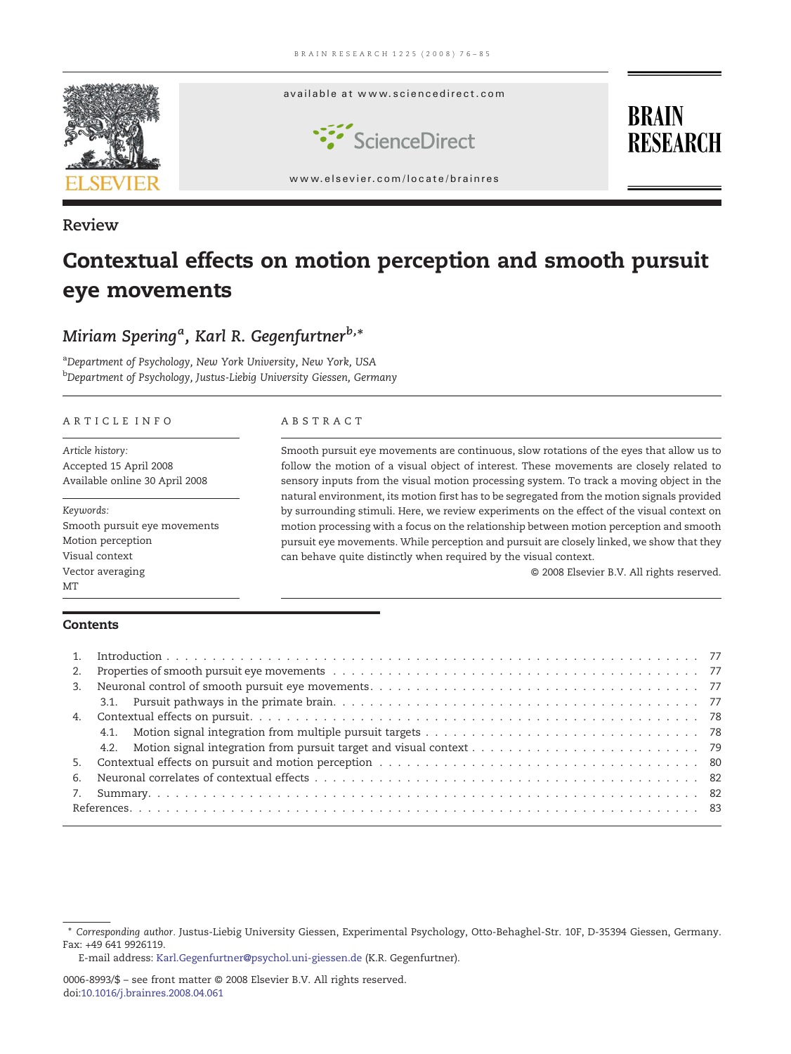

### Review

# Contextual effects on motion perception and smooth pursuit eye movements

## Miriam Spering<sup>a</sup>, Karl R. Gegenfurtner<sup>b,</sup>\*

<sup>a</sup>Department of Psychology, New York University, New York, USA <sup>b</sup>Department of Psychology, Justus-Liebig University Giessen, Germany

#### ARTICLE INFO ABSTRACT

Article history: Accepted 15 April 2008 Available online 30 April 2008

Keywords: Smooth pursuit eye movements Motion perception Visual context Vector averaging MT

Smooth pursuit eye movements are continuous, slow rotations of the eyes that allow us to follow the motion of a visual object of interest. These movements are closely related to sensory inputs from the visual motion processing system. To track a moving object in the natural environment, its motion first has to be segregated from the motion signals provided by surrounding stimuli. Here, we review experiments on the effect of the visual context on motion processing with a focus on the relationship between motion perception and smooth pursuit eye movements. While perception and pursuit are closely linked, we show that they can behave quite distinctly when required by the visual context.

© 2008 Elsevier B.V. All rights reserved.

#### **Contents**

E-mail address: [Karl.Gegenfurtner@psychol.uni-giessen.de](mailto:Karl.Gegenfurtner@psychol.uni-giessen.de) (K.R. Gegenfurtner).

<sup>⁎</sup> Corresponding author. Justus-Liebig University Giessen, Experimental Psychology, Otto-Behaghel-Str. 10F, D-35394 Giessen, Germany. Fax: +49 641 9926119.

<sup>0006-8993/\$</sup> – see front matter © 2008 Elsevier B.V. All rights reserved. doi[:10.1016/j.brainres.2008.04.061](http://dx.doi.org/10.1016/j.brainres.2008.04.061)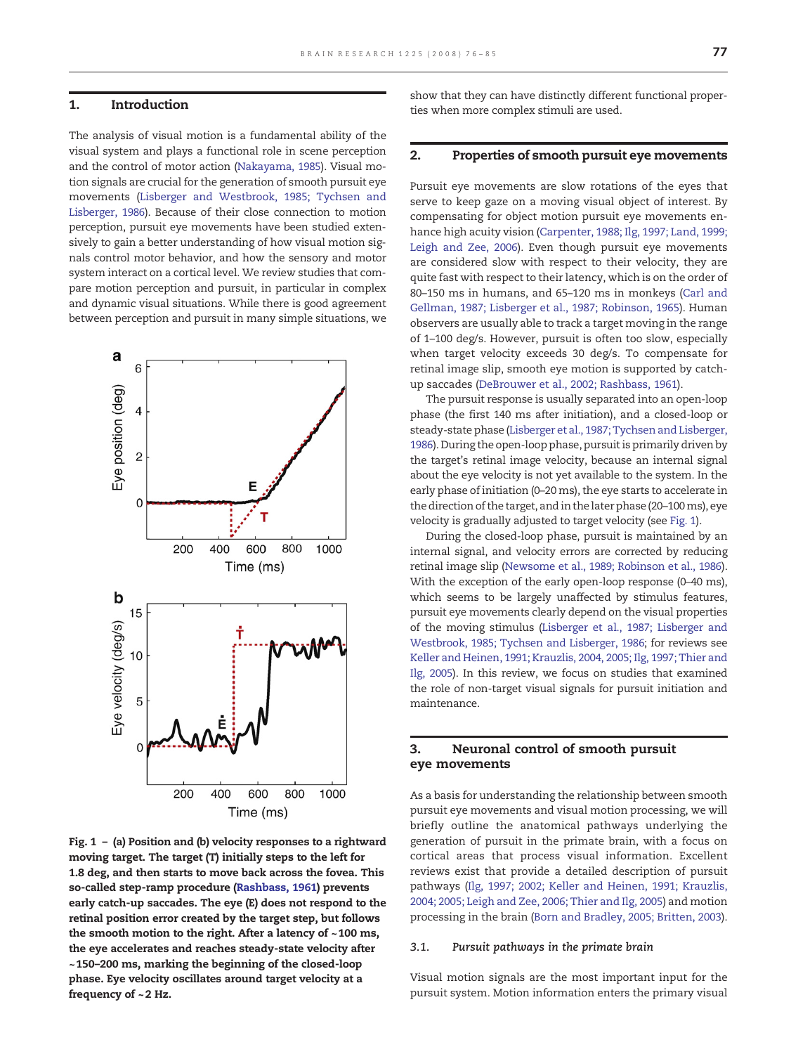#### 1. Introduction

The analysis of visual motion is a fundamental ability of the visual system and plays a functional role in scene perception and the control of motor action ([Nakayama, 1985\)](#page-8-0). Visual motion signals are crucial for the generation of smooth pursuit eye movements [\(Lisberger and Westbrook, 1985; Tychsen and](#page-8-0) [Lisberger, 1986](#page-8-0)). Because of their close connection to motion perception, pursuit eye movements have been studied extensively to gain a better understanding of how visual motion signals control motor behavior, and how the sensory and motor system interact on a cortical level. We review studies that compare motion perception and pursuit, in particular in complex and dynamic visual situations. While there is good agreement between perception and pursuit in many simple situations, we



Fig. 1 – (a) Position and (b) velocity responses to a rightward moving target. The target (T) initially steps to the left for 1.8 deg, and then starts to move back across the fovea. This so-called step-ramp procedure [\(Rashbass, 1961\)](#page-8-0) prevents early catch-up saccades. The eye (E) does not respond to the retinal position error created by the target step, but follows the smooth motion to the right. After a latency of ~100 ms, the eye accelerates and reaches steady-state velocity after ~150–200 ms, marking the beginning of the closed-loop phase. Eye velocity oscillates around target velocity at a frequency of ~2 Hz.

show that they can have distinctly different functional properties when more complex stimuli are used.

#### 2. Properties of smooth pursuit eye movements

Pursuit eye movements are slow rotations of the eyes that serve to keep gaze on a moving visual object of interest. By compensating for object motion pursuit eye movements enhance high acuity vision ([Carpenter, 1988; Ilg, 1997; Land, 1999;](#page-7-0) [Leigh and Zee, 2006\)](#page-7-0). Even though pursuit eye movements are considered slow with respect to their velocity, they are quite fast with respect to their latency, which is on the order of 80–150 ms in humans, and 65–120 ms in monkeys [\(Carl and](#page-7-0) [Gellman, 1987; Lisberger et al., 1987; Robinson, 1965\)](#page-7-0). Human observers are usually able to track a target moving in the range of 1–100 deg/s. However, pursuit is often too slow, especially when target velocity exceeds 30 deg/s. To compensate for retinal image slip, smooth eye motion is supported by catchup saccades ([DeBrouwer et al., 2002; Rashbass, 1961](#page-7-0)).

The pursuit response is usually separated into an open-loop phase (the first 140 ms after initiation), and a closed-loop or steady-state phase ([Lisberger et al., 1987; Tychsen and Lisberger,](#page-8-0) [1986](#page-8-0)). During the open-loop phase, pursuit is primarily driven by the target's retinal image velocity, because an internal signal about the eye velocity is not yet available to the system. In the early phase of initiation (0–20 ms), the eye starts to accelerate in the direction of the target, and in the later phase (20–100ms), eye velocity is gradually adjusted to target velocity (see Fig. 1).

During the closed-loop phase, pursuit is maintained by an internal signal, and velocity errors are corrected by reducing retinal image slip [\(Newsome et al., 1989; Robinson et al., 1986](#page-8-0)). With the exception of the early open-loop response (0–40 ms), which seems to be largely unaffected by stimulus features, pursuit eye movements clearly depend on the visual properties of the moving stimulus [\(Lisberger et al., 1987; Lisberger and](#page-8-0) [Westbrook, 1985; Tychsen and Lisberger, 1986](#page-8-0); for reviews see [Keller and Heinen, 1991; Krauzlis, 2004, 2005; Ilg, 1997; Thier and](#page-8-0) [Ilg, 2005\)](#page-8-0). In this review, we focus on studies that examined the role of non-target visual signals for pursuit initiation and maintenance.

#### 3. Neuronal control of smooth pursuit eye movements

As a basis for understanding the relationship between smooth pursuit eye movements and visual motion processing, we will briefly outline the anatomical pathways underlying the generation of pursuit in the primate brain, with a focus on cortical areas that process visual information. Excellent reviews exist that provide a detailed description of pursuit pathways ([Ilg, 1997; 2002; Keller and Heinen, 1991; Krauzlis,](#page-7-0) [2004; 2005; Leigh and Zee, 2006; Thier and Ilg, 2005](#page-7-0)) and motion processing in the brain [\(Born and Bradley, 2005; Britten, 2003](#page-7-0)).

#### 3.1. Pursuit pathways in the primate brain

Visual motion signals are the most important input for the pursuit system. Motion information enters the primary visual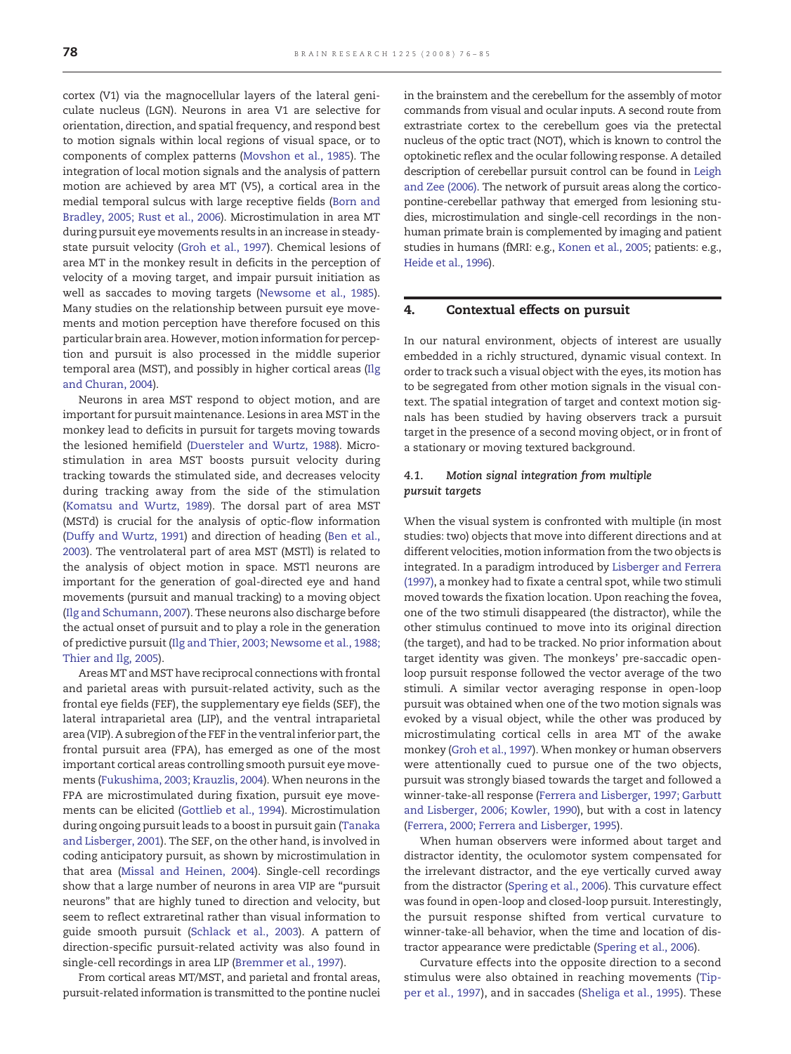cortex (V1) via the magnocellular layers of the lateral geniculate nucleus (LGN). Neurons in area V1 are selective for orientation, direction, and spatial frequency, and respond best to motion signals within local regions of visual space, or to components of complex patterns [\(Movshon et al., 1985\)](#page-8-0). The integration of local motion signals and the analysis of pattern motion are achieved by area MT (V5), a cortical area in the medial temporal sulcus with large receptive fields [\(Born and](#page-7-0) [Bradley, 2005; Rust et al., 2006](#page-7-0)). Microstimulation in area MT during pursuit eye movements results in an increase in steadystate pursuit velocity [\(Groh et al., 1997\)](#page-7-0). Chemical lesions of area MT in the monkey result in deficits in the perception of velocity of a moving target, and impair pursuit initiation as well as saccades to moving targets ([Newsome et al., 1985\)](#page-8-0). Many studies on the relationship between pursuit eye movements and motion perception have therefore focused on this particular brain area. However, motion information for perception and pursuit is also processed in the middle superior temporal area (MST), and possibly in higher cortical areas ([Ilg](#page-7-0) [and Churan, 2004](#page-7-0)).

Neurons in area MST respond to object motion, and are important for pursuit maintenance. Lesions in area MST in the monkey lead to deficits in pursuit for targets moving towards the lesioned hemifield [\(Duersteler and Wurtz, 1988](#page-7-0)). Microstimulation in area MST boosts pursuit velocity during tracking towards the stimulated side, and decreases velocity during tracking away from the side of the stimulation ([Komatsu and Wurtz, 1989](#page-8-0)). The dorsal part of area MST (MSTd) is crucial for the analysis of optic-flow information ([Duffy and Wurtz, 1991\)](#page-7-0) and direction of heading [\(Ben et al.,](#page-7-0) [2003\)](#page-7-0). The ventrolateral part of area MST (MSTl) is related to the analysis of object motion in space. MSTl neurons are important for the generation of goal-directed eye and hand movements (pursuit and manual tracking) to a moving object ([Ilg and Schumann, 2007\)](#page-7-0). These neurons also discharge before the actual onset of pursuit and to play a role in the generation of predictive pursuit ([Ilg and Thier, 2003; Newsome et al., 1988;](#page-7-0) [Thier and Ilg, 2005](#page-7-0)).

Areas MT and MST have reciprocal connections with frontal and parietal areas with pursuit-related activity, such as the frontal eye fields (FEF), the supplementary eye fields (SEF), the lateral intraparietal area (LIP), and the ventral intraparietal area (VIP). A subregion of the FEF in the ventral inferior part, the frontal pursuit area (FPA), has emerged as one of the most important cortical areas controlling smooth pursuit eye movements [\(Fukushima, 2003; Krauzlis, 2004](#page-7-0)). When neurons in the FPA are microstimulated during fixation, pursuit eye movements can be elicited ([Gottlieb et al., 1994\)](#page-7-0). Microstimulation during ongoing pursuit leads to a boost in pursuit gain [\(Tanaka](#page-9-0) [and Lisberger, 2001\)](#page-9-0). The SEF, on the other hand, is involved in coding anticipatory pursuit, as shown by microstimulation in that area [\(Missal and Heinen, 2004\)](#page-8-0). Single-cell recordings show that a large number of neurons in area VIP are "pursuit neurons" that are highly tuned to direction and velocity, but seem to reflect extraretinal rather than visual information to guide smooth pursuit ([Schlack et al., 2003\)](#page-8-0). A pattern of direction-specific pursuit-related activity was also found in single-cell recordings in area LIP [\(Bremmer et al., 1997](#page-7-0)).

From cortical areas MT/MST, and parietal and frontal areas, pursuit-related information is transmitted to the pontine nuclei in the brainstem and the cerebellum for the assembly of motor commands from visual and ocular inputs. A second route from extrastriate cortex to the cerebellum goes via the pretectal nucleus of the optic tract (NOT), which is known to control the optokinetic reflex and the ocular following response. A detailed description of cerebellar pursuit control can be found in [Leigh](#page-8-0) [and Zee \(2006\)](#page-8-0). The network of pursuit areas along the corticopontine-cerebellar pathway that emerged from lesioning studies, microstimulation and single-cell recordings in the nonhuman primate brain is complemented by imaging and patient studies in humans (fMRI: e.g., [Konen et al., 2005](#page-8-0); patients: e.g., [Heide et al., 1996](#page-7-0)).

#### 4. Contextual effects on pursuit

In our natural environment, objects of interest are usually embedded in a richly structured, dynamic visual context. In order to track such a visual object with the eyes, its motion has to be segregated from other motion signals in the visual context. The spatial integration of target and context motion signals has been studied by having observers track a pursuit target in the presence of a second moving object, or in front of a stationary or moving textured background.

#### 4.1. Motion signal integration from multiple pursuit targets

When the visual system is confronted with multiple (in most studies: two) objects that move into different directions and at different velocities, motion information from the two objects is integrated. In a paradigm introduced by [Lisberger and Ferrera](#page-8-0) [\(1997\),](#page-8-0) a monkey had to fixate a central spot, while two stimuli moved towards the fixation location. Upon reaching the fovea, one of the two stimuli disappeared (the distractor), while the other stimulus continued to move into its original direction (the target), and had to be tracked. No prior information about target identity was given. The monkeys' pre-saccadic openloop pursuit response followed the vector average of the two stimuli. A similar vector averaging response in open-loop pursuit was obtained when one of the two motion signals was evoked by a visual object, while the other was produced by microstimulating cortical cells in area MT of the awake monkey [\(Groh et al., 1997](#page-7-0)). When monkey or human observers were attentionally cued to pursue one of the two objects, pursuit was strongly biased towards the target and followed a winner-take-all response [\(Ferrera and Lisberger, 1997; Garbutt](#page-7-0) [and Lisberger, 2006; Kowler, 1990\)](#page-7-0), but with a cost in latency ([Ferrera, 2000; Ferrera and Lisberger, 1995](#page-7-0)).

When human observers were informed about target and distractor identity, the oculomotor system compensated for the irrelevant distractor, and the eye vertically curved away from the distractor ([Spering et al., 2006\)](#page-9-0). This curvature effect was found in open-loop and closed-loop pursuit. Interestingly, the pursuit response shifted from vertical curvature to winner-take-all behavior, when the time and location of distractor appearance were predictable ([Spering et al., 2006\)](#page-9-0).

Curvature effects into the opposite direction to a second stimulus were also obtained in reaching movements ([Tip](#page-9-0)[per et al., 1997](#page-9-0)), and in saccades [\(Sheliga et al., 1995](#page-9-0)). These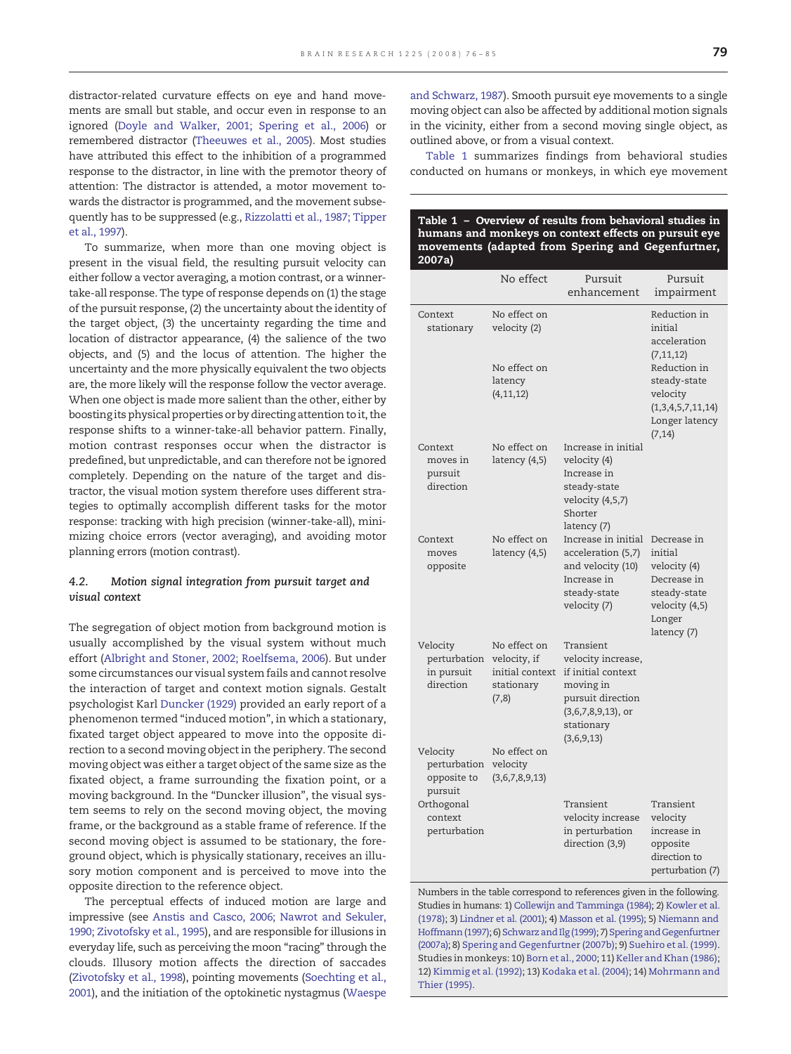<span id="page-3-0"></span>distractor-related curvature effects on eye and hand movements are small but stable, and occur even in response to an ignored ([Doyle and Walker, 2001; Spering et al., 2006\)](#page-7-0) or remembered distractor [\(Theeuwes et al., 2005\)](#page-9-0). Most studies have attributed this effect to the inhibition of a programmed response to the distractor, in line with the premotor theory of attention: The distractor is attended, a motor movement towards the distractor is programmed, and the movement subsequently has to be suppressed (e.g., [Rizzolatti et al., 1987; Tipper](#page-8-0) [et al., 1997\)](#page-8-0).

To summarize, when more than one moving object is present in the visual field, the resulting pursuit velocity can either follow a vector averaging, a motion contrast, or a winnertake-all response. The type of response depends on (1) the stage of the pursuit response, (2) the uncertainty about the identity of the target object, (3) the uncertainty regarding the time and location of distractor appearance, (4) the salience of the two objects, and (5) and the locus of attention. The higher the uncertainty and the more physically equivalent the two objects are, the more likely will the response follow the vector average. When one object is made more salient than the other, either by boosting its physical properties or by directing attention to it, the response shifts to a winner-take-all behavior pattern. Finally, motion contrast responses occur when the distractor is predefined, but unpredictable, and can therefore not be ignored completely. Depending on the nature of the target and distractor, the visual motion system therefore uses different strategies to optimally accomplish different tasks for the motor response: tracking with high precision (winner-take-all), minimizing choice errors (vector averaging), and avoiding motor planning errors (motion contrast).

#### 4.2. Motion signal integration from pursuit target and visual context

The segregation of object motion from background motion is usually accomplished by the visual system without much effort [\(Albright and Stoner, 2002; Roelfsema, 2006\)](#page-7-0). But under some circumstances our visual system fails and cannot resolve the interaction of target and context motion signals. Gestalt psychologist Karl [Duncker \(1929\)](#page-7-0) provided an early report of a phenomenon termed "induced motion", in which a stationary, fixated target object appeared to move into the opposite direction to a second moving object in the periphery. The second moving object was either a target object of the same size as the fixated object, a frame surrounding the fixation point, or a moving background. In the "Duncker illusion", the visual system seems to rely on the second moving object, the moving frame, or the background as a stable frame of reference. If the second moving object is assumed to be stationary, the foreground object, which is physically stationary, receives an illusory motion component and is perceived to move into the opposite direction to the reference object.

The perceptual effects of induced motion are large and impressive (see [Anstis and Casco, 2006; Nawrot and Sekuler,](#page-7-0) [1990; Zivotofsky et al., 1995](#page-7-0)), and are responsible for illusions in everyday life, such as perceiving the moon "racing" through the clouds. Illusory motion affects the direction of saccades [\(Zivotofsky et al., 1998\)](#page-9-0), pointing movements ([Soechting et al.,](#page-9-0) [2001](#page-9-0)), and the initiation of the optokinetic nystagmus ([Waespe](#page-9-0)

[and Schwarz, 1987](#page-9-0)). Smooth pursuit eye movements to a single moving object can also be affected by additional motion signals in the vicinity, either from a second moving single object, as outlined above, or from a visual context.

Table 1 summarizes findings from behavioral studies conducted on humans or monkeys, in which eye movement

#### Table 1 – Overview of results from behavioral studies in humans and monkeys on context effects on pursuit eye movements (adapted from [Spering and Gegenfurtner,](#page-9-0) [2007a](#page-9-0))

|                                                     | No effect                                                               | Pursuit<br>enhancement                                                                                                                       | Pursuit<br>impairment                                                                                              |
|-----------------------------------------------------|-------------------------------------------------------------------------|----------------------------------------------------------------------------------------------------------------------------------------------|--------------------------------------------------------------------------------------------------------------------|
| Context<br>stationary                               | No effect on<br>velocity (2)                                            |                                                                                                                                              | Reduction in<br>initial<br>acceleration<br>(7, 11, 12)                                                             |
|                                                     | No effect on<br>latency<br>(4, 11, 12)                                  |                                                                                                                                              | Reduction in<br>steady-state<br>velocity<br>(1,3,4,5,7,11,14)<br>Longer latency<br>(7, 14)                         |
| Context<br>moves in<br>pursuit<br>direction         | No effect on<br>latency (4,5)                                           | Increase in initial<br>velocity (4)<br>Increase in<br>steady-state<br>velocity $(4,5,7)$<br>Shorter<br>latency (7)                           |                                                                                                                    |
| Context<br>moves<br>opposite                        | No effect on<br>latency (4,5)                                           | Increase in initial<br>acceleration (5,7)<br>and velocity (10)<br>Increase in<br>steady-state<br>velocity (7)                                | Decrease in<br>initial<br>velocity (4)<br>Decrease in<br>steady-state<br>velocity $(4,5)$<br>Longer<br>latency (7) |
| Velocity<br>perturbation<br>in pursuit<br>direction | No effect on<br>velocity, if<br>initial context<br>stationary<br>(7, 8) | Transient<br>velocity increase,<br>if initial context<br>moving in<br>pursuit direction<br>$(3,6,7,8,9,13)$ , or<br>stationary<br>(3,6,9,13) |                                                                                                                    |
| Velocity<br>perturbation<br>opposite to<br>pursuit  | No effect on<br>velocity<br>(3,6,7,8,9,13)                              |                                                                                                                                              |                                                                                                                    |
| Orthogonal<br>context<br>perturbation               |                                                                         | Transient<br>velocity increase<br>in perturbation<br>direction (3,9)                                                                         | Transient<br>velocity<br>increase in<br>opposite<br>direction to<br>perturbation (7)                               |

Numbers in the table correspond to references given in the following. Studies in humans: 1) [Collewijn and Tamminga \(1984\);](#page-7-0) 2) [Kowler et al.](#page-8-0) [\(1978\)](#page-8-0); 3) [Lindner et al. \(2001\)](#page-8-0); 4) [Masson et al. \(1995\);](#page-8-0) 5) [Niemann and](#page-8-0) [Hoffmann \(1997\);](#page-8-0) 6) [Schwarz and Ilg \(1999\)](#page-8-0); 7) [Spering and Gegenfurtner](#page-9-0) [\(2007a\);](#page-9-0) 8) [Spering and Gegenfurtner \(2007b\)](#page-9-0); 9) [Suehiro et al. \(1999\)](#page-9-0). Studies in monkeys: 10) [Born et al., 2000;](#page-7-0) 11) [Keller and Khan \(1986\)](#page-7-0); 12) [Kimmig et al. \(1992\)](#page-8-0); 13) [Kodaka et al. \(2004\);](#page-8-0) 14) [Mohrmann and](#page-8-0) [Thier \(1995\).](#page-8-0)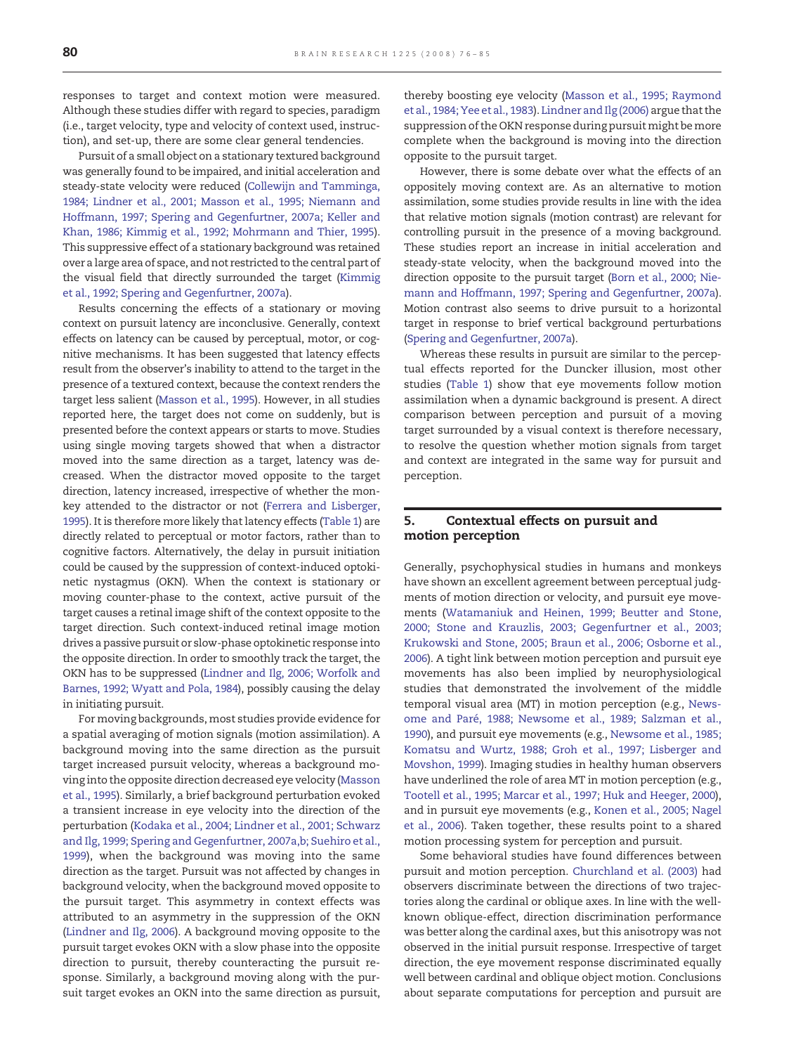responses to target and context motion were measured. Although these studies differ with regard to species, paradigm (i.e., target velocity, type and velocity of context used, instruction), and set-up, there are some clear general tendencies.

Pursuit of a small object on a stationary textured background was generally found to be impaired, and initial acceleration and steady-state velocity were reduced [\(Collewijn and Tamminga,](#page-7-0) [1984; Lindner et al., 2001; Masson et al., 1995; Niemann and](#page-7-0) [Hoffmann, 1997; Spering and Gegenfurtner, 2007a; Keller and](#page-7-0) [Khan, 1986; Kimmig et al., 1992; Mohrmann and Thier, 1995\)](#page-7-0). This suppressive effect of a stationary background was retained over a large area of space, and not restricted to the central part of the visual field that directly surrounded the target [\(Kimmig](#page-8-0) [et al., 1992; Spering and Gegenfurtner, 2007a](#page-8-0)).

Results concerning the effects of a stationary or moving context on pursuit latency are inconclusive. Generally, context effects on latency can be caused by perceptual, motor, or cognitive mechanisms. It has been suggested that latency effects result from the observer's inability to attend to the target in the presence of a textured context, because the context renders the target less salient ([Masson et al., 1995\)](#page-8-0). However, in all studies reported here, the target does not come on suddenly, but is presented before the context appears or starts to move. Studies using single moving targets showed that when a distractor moved into the same direction as a target, latency was decreased. When the distractor moved opposite to the target direction, latency increased, irrespective of whether the monkey attended to the distractor or not ([Ferrera and Lisberger,](#page-7-0) [1995](#page-7-0)). It is therefore more likely that latency effects [\(Table 1](#page-3-0)) are directly related to perceptual or motor factors, rather than to cognitive factors. Alternatively, the delay in pursuit initiation could be caused by the suppression of context-induced optokinetic nystagmus (OKN). When the context is stationary or moving counter-phase to the context, active pursuit of the target causes a retinal image shift of the context opposite to the target direction. Such context-induced retinal image motion drives a passive pursuit or slow-phase optokinetic response into the opposite direction. In order to smoothly track the target, the OKN has to be suppressed [\(Lindner and Ilg, 2006; Worfolk and](#page-8-0) [Barnes, 1992; Wyatt and Pola, 1984](#page-8-0)), possibly causing the delay in initiating pursuit.

For moving backgrounds, most studies provide evidence for a spatial averaging of motion signals (motion assimilation). A background moving into the same direction as the pursuit target increased pursuit velocity, whereas a background moving into the opposite direction decreased eye velocity ([Masson](#page-8-0) [et al., 1995\)](#page-8-0). Similarly, a brief background perturbation evoked a transient increase in eye velocity into the direction of the perturbation ([Kodaka et al., 2004; Lindner et al., 2001; Schwarz](#page-8-0) [and Ilg, 1999; Spering and Gegenfurtner, 2007a,b; Suehiro et al.,](#page-8-0) [1999](#page-8-0)), when the background was moving into the same direction as the target. Pursuit was not affected by changes in background velocity, when the background moved opposite to the pursuit target. This asymmetry in context effects was attributed to an asymmetry in the suppression of the OKN ([Lindner and Ilg, 2006\)](#page-8-0). A background moving opposite to the pursuit target evokes OKN with a slow phase into the opposite direction to pursuit, thereby counteracting the pursuit response. Similarly, a background moving along with the pursuit target evokes an OKN into the same direction as pursuit,

thereby boosting eye velocity ([Masson et al., 1995; Raymond](#page-8-0) [et al., 1984; Yee et al., 1983\)](#page-8-0). [Lindner and Ilg \(2006\)](#page-8-0) argue that the suppression of the OKN response during pursuit might be more complete when the background is moving into the direction opposite to the pursuit target.

However, there is some debate over what the effects of an oppositely moving context are. As an alternative to motion assimilation, some studies provide results in line with the idea that relative motion signals (motion contrast) are relevant for controlling pursuit in the presence of a moving background. These studies report an increase in initial acceleration and steady-state velocity, when the background moved into the direction opposite to the pursuit target [\(Born et al., 2000; Nie](#page-7-0)[mann and Hoffmann, 1997; Spering and Gegenfurtner, 2007a\)](#page-7-0). Motion contrast also seems to drive pursuit to a horizontal target in response to brief vertical background perturbations ([Spering and Gegenfurtner, 2007a\)](#page-9-0).

Whereas these results in pursuit are similar to the perceptual effects reported for the Duncker illusion, most other studies ([Table 1](#page-3-0)) show that eye movements follow motion assimilation when a dynamic background is present. A direct comparison between perception and pursuit of a moving target surrounded by a visual context is therefore necessary, to resolve the question whether motion signals from target and context are integrated in the same way for pursuit and perception.

### 5. Contextual effects on pursuit and motion perception

Generally, psychophysical studies in humans and monkeys have shown an excellent agreement between perceptual judgments of motion direction or velocity, and pursuit eye movements ([Watamaniuk and Heinen, 1999; Beutter and Stone,](#page-9-0) [2000; Stone and Krauzlis, 2003; Gegenfurtner et al., 2003;](#page-9-0) [Krukowski and Stone, 2005; Braun et al., 2006; Osborne et al.,](#page-9-0) [2006\)](#page-9-0). A tight link between motion perception and pursuit eye movements has also been implied by neurophysiological studies that demonstrated the involvement of the middle temporal visual area (MT) in motion perception (e.g., [News](#page-8-0)[ome and Paré, 1988; Newsome et al., 1989; Salzman et al.,](#page-8-0) [1990\)](#page-8-0), and pursuit eye movements (e.g., [Newsome et al., 1985;](#page-8-0) [Komatsu and Wurtz, 1988; Groh et al., 1997; Lisberger and](#page-8-0) [Movshon, 1999](#page-8-0)). Imaging studies in healthy human observers have underlined the role of area MT in motion perception (e.g., [Tootell et al., 1995; Marcar et al., 1997; Huk and Heeger, 2000\)](#page-9-0), and in pursuit eye movements (e.g., [Konen et al., 2005; Nagel](#page-8-0) [et al., 2006](#page-8-0)). Taken together, these results point to a shared motion processing system for perception and pursuit.

Some behavioral studies have found differences between pursuit and motion perception. [Churchland et al. \(2003\)](#page-7-0) had observers discriminate between the directions of two trajectories along the cardinal or oblique axes. In line with the wellknown oblique-effect, direction discrimination performance was better along the cardinal axes, but this anisotropy was not observed in the initial pursuit response. Irrespective of target direction, the eye movement response discriminated equally well between cardinal and oblique object motion. Conclusions about separate computations for perception and pursuit are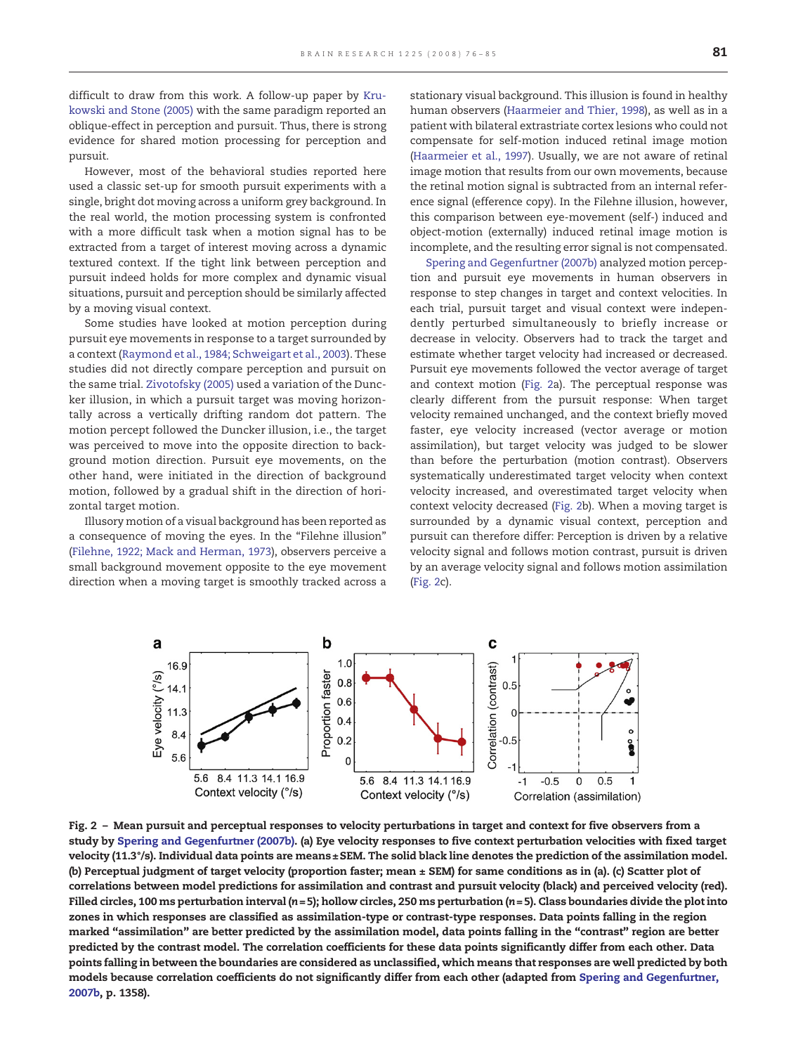difficult to draw from this work. A follow-up paper by [Kru](#page-8-0)[kowski and Stone \(2005\)](#page-8-0) with the same paradigm reported an oblique-effect in perception and pursuit. Thus, there is strong evidence for shared motion processing for perception and pursuit.

However, most of the behavioral studies reported here used a classic set-up for smooth pursuit experiments with a single, bright dot moving across a uniform grey background. In the real world, the motion processing system is confronted with a more difficult task when a motion signal has to be extracted from a target of interest moving across a dynamic textured context. If the tight link between perception and pursuit indeed holds for more complex and dynamic visual situations, pursuit and perception should be similarly affected by a moving visual context.

Some studies have looked at motion perception during pursuit eye movements in response to a target surrounded by a context ([Raymond et al., 1984; Schweigart et al., 2003\)](#page-8-0). These studies did not directly compare perception and pursuit on the same trial. [Zivotofsky \(2005\)](#page-9-0) used a variation of the Duncker illusion, in which a pursuit target was moving horizontally across a vertically drifting random dot pattern. The motion percept followed the Duncker illusion, i.e., the target was perceived to move into the opposite direction to background motion direction. Pursuit eye movements, on the other hand, were initiated in the direction of background motion, followed by a gradual shift in the direction of horizontal target motion.

Illusory motion of a visual background has been reported as a consequence of moving the eyes. In the "Filehne illusion" [\(Filehne, 1922; Mack and Herman, 1973](#page-7-0)), observers perceive a small background movement opposite to the eye movement direction when a moving target is smoothly tracked across a

stationary visual background. This illusion is found in healthy human observers ([Haarmeier and Thier, 1998](#page-7-0)), as well as in a patient with bilateral extrastriate cortex lesions who could not compensate for self-motion induced retinal image motion [\(Haarmeier et al., 1997\)](#page-7-0). Usually, we are not aware of retinal image motion that results from our own movements, because the retinal motion signal is subtracted from an internal reference signal (efference copy). In the Filehne illusion, however, this comparison between eye-movement (self-) induced and object-motion (externally) induced retinal image motion is incomplete, and the resulting error signal is not compensated.

[Spering and Gegenfurtner \(2007b\)](#page-9-0) analyzed motion perception and pursuit eye movements in human observers in response to step changes in target and context velocities. In each trial, pursuit target and visual context were independently perturbed simultaneously to briefly increase or decrease in velocity. Observers had to track the target and estimate whether target velocity had increased or decreased. Pursuit eye movements followed the vector average of target and context motion (Fig. 2a). The perceptual response was clearly different from the pursuit response: When target velocity remained unchanged, and the context briefly moved faster, eye velocity increased (vector average or motion assimilation), but target velocity was judged to be slower than before the perturbation (motion contrast). Observers systematically underestimated target velocity when context velocity increased, and overestimated target velocity when context velocity decreased (Fig. 2b). When a moving target is surrounded by a dynamic visual context, perception and pursuit can therefore differ: Perception is driven by a relative velocity signal and follows motion contrast, pursuit is driven by an average velocity signal and follows motion assimilation (Fig. 2c).



Fig. 2 – Mean pursuit and perceptual responses to velocity perturbations in target and context for five observers from a study by [Spering and Gegenfurtner \(2007b\).](#page-9-0) (a) Eye velocity responses to five context perturbation velocities with fixed target velocity (11.3°/s). Individual data points are means± SEM. The solid black line denotes the prediction of the assimilation model. (b) Perceptual judgment of target velocity (proportion faster; mean ± SEM) for same conditions as in (a). (c) Scatter plot of correlations between model predictions for assimilation and contrast and pursuit velocity (black) and perceived velocity (red). Filled circles, 100 ms perturbation interval ( $n=5$ ); hollow circles, 250 ms perturbation ( $n=5$ ). Class boundaries divide the plot into zones in which responses are classified as assimilation-type or contrast-type responses. Data points falling in the region marked "assimilation" are better predicted by the assimilation model, data points falling in the "contrast" region are better predicted by the contrast model. The correlation coefficients for these data points significantly differ from each other. Data points falling in between the boundaries are considered as unclassified, which means that responses are well predicted by both models because correlation coefficients do not significantly differ from each other (adapted from [Spering and Gegenfurtner,](#page-9-0) [2007b](#page-9-0), p. 1358).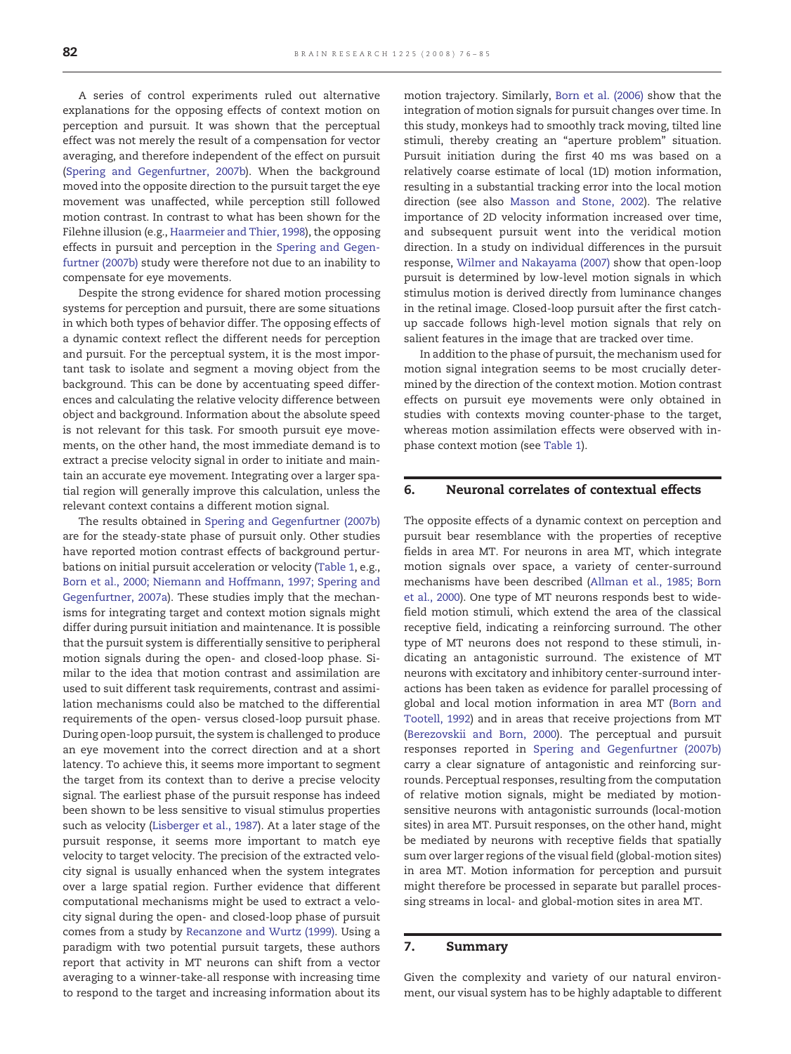A series of control experiments ruled out alternative explanations for the opposing effects of context motion on perception and pursuit. It was shown that the perceptual effect was not merely the result of a compensation for vector averaging, and therefore independent of the effect on pursuit ([Spering and Gegenfurtner, 2007b\)](#page-9-0). When the background moved into the opposite direction to the pursuit target the eye movement was unaffected, while perception still followed motion contrast. In contrast to what has been shown for the Filehne illusion (e.g., [Haarmeier and Thier, 1998\)](#page-7-0), the opposing effects in pursuit and perception in the [Spering and Gegen](#page-9-0)[furtner \(2007b\)](#page-9-0) study were therefore not due to an inability to compensate for eye movements.

Despite the strong evidence for shared motion processing systems for perception and pursuit, there are some situations in which both types of behavior differ. The opposing effects of a dynamic context reflect the different needs for perception and pursuit. For the perceptual system, it is the most important task to isolate and segment a moving object from the background. This can be done by accentuating speed differences and calculating the relative velocity difference between object and background. Information about the absolute speed is not relevant for this task. For smooth pursuit eye movements, on the other hand, the most immediate demand is to extract a precise velocity signal in order to initiate and maintain an accurate eye movement. Integrating over a larger spatial region will generally improve this calculation, unless the relevant context contains a different motion signal.

The results obtained in [Spering and Gegenfurtner \(2007b\)](#page-9-0) are for the steady-state phase of pursuit only. Other studies have reported motion contrast effects of background perturbations on initial pursuit acceleration or velocity [\(Table 1,](#page-3-0) e.g., [Born et al., 2000; Niemann and Hoffmann, 1997; Spering and](#page-7-0) [Gegenfurtner, 2007a](#page-7-0)). These studies imply that the mechanisms for integrating target and context motion signals might differ during pursuit initiation and maintenance. It is possible that the pursuit system is differentially sensitive to peripheral motion signals during the open- and closed-loop phase. Similar to the idea that motion contrast and assimilation are used to suit different task requirements, contrast and assimilation mechanisms could also be matched to the differential requirements of the open- versus closed-loop pursuit phase. During open-loop pursuit, the system is challenged to produce an eye movement into the correct direction and at a short latency. To achieve this, it seems more important to segment the target from its context than to derive a precise velocity signal. The earliest phase of the pursuit response has indeed been shown to be less sensitive to visual stimulus properties such as velocity ([Lisberger et al., 1987](#page-8-0)). At a later stage of the pursuit response, it seems more important to match eye velocity to target velocity. The precision of the extracted velocity signal is usually enhanced when the system integrates over a large spatial region. Further evidence that different computational mechanisms might be used to extract a velocity signal during the open- and closed-loop phase of pursuit comes from a study by [Recanzone and Wurtz \(1999\)](#page-8-0). Using a paradigm with two potential pursuit targets, these authors report that activity in MT neurons can shift from a vector averaging to a winner-take-all response with increasing time to respond to the target and increasing information about its

motion trajectory. Similarly, [Born et al. \(2006\)](#page-7-0) show that the integration of motion signals for pursuit changes over time. In this study, monkeys had to smoothly track moving, tilted line stimuli, thereby creating an "aperture problem" situation. Pursuit initiation during the first 40 ms was based on a relatively coarse estimate of local (1D) motion information, resulting in a substantial tracking error into the local motion direction (see also [Masson and Stone, 2002](#page-8-0)). The relative importance of 2D velocity information increased over time, and subsequent pursuit went into the veridical motion direction. In a study on individual differences in the pursuit response, [Wilmer and Nakayama \(2007\)](#page-9-0) show that open-loop pursuit is determined by low-level motion signals in which stimulus motion is derived directly from luminance changes in the retinal image. Closed-loop pursuit after the first catchup saccade follows high-level motion signals that rely on salient features in the image that are tracked over time.

In addition to the phase of pursuit, the mechanism used for motion signal integration seems to be most crucially determined by the direction of the context motion. Motion contrast effects on pursuit eye movements were only obtained in studies with contexts moving counter-phase to the target, whereas motion assimilation effects were observed with inphase context motion (see [Table 1\)](#page-3-0).

### 6. Neuronal correlates of contextual effects

The opposite effects of a dynamic context on perception and pursuit bear resemblance with the properties of receptive fields in area MT. For neurons in area MT, which integrate motion signals over space, a variety of center-surround mechanisms have been described ([Allman et al., 1985; Born](#page-7-0) [et al., 2000](#page-7-0)). One type of MT neurons responds best to widefield motion stimuli, which extend the area of the classical receptive field, indicating a reinforcing surround. The other type of MT neurons does not respond to these stimuli, indicating an antagonistic surround. The existence of MT neurons with excitatory and inhibitory center-surround interactions has been taken as evidence for parallel processing of global and local motion information in area MT [\(Born and](#page-7-0) [Tootell, 1992](#page-7-0)) and in areas that receive projections from MT ([Berezovskii and Born, 2000](#page-7-0)). The perceptual and pursuit responses reported in [Spering and Gegenfurtner \(2007b\)](#page-9-0) carry a clear signature of antagonistic and reinforcing surrounds. Perceptual responses, resulting from the computation of relative motion signals, might be mediated by motionsensitive neurons with antagonistic surrounds (local-motion sites) in area MT. Pursuit responses, on the other hand, might be mediated by neurons with receptive fields that spatially sum over larger regions of the visual field (global-motion sites) in area MT. Motion information for perception and pursuit might therefore be processed in separate but parallel processing streams in local- and global-motion sites in area MT.

#### 7. Summary

Given the complexity and variety of our natural environment, our visual system has to be highly adaptable to different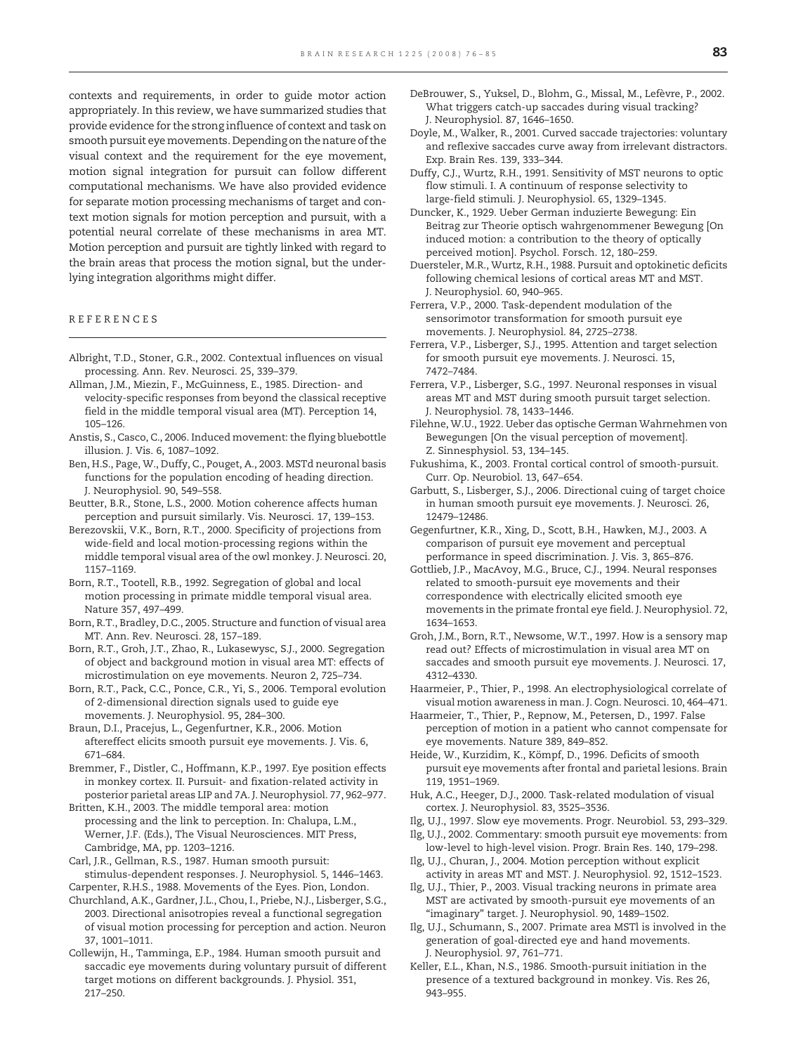<span id="page-7-0"></span>contexts and requirements, in order to guide motor action appropriately. In this review, we have summarized studies that provide evidence for the strong influence of context and task on smooth pursuit eye movements. Depending on the nature of the visual context and the requirement for the eye movement, motion signal integration for pursuit can follow different computational mechanisms. We have also provided evidence for separate motion processing mechanisms of target and context motion signals for motion perception and pursuit, with a potential neural correlate of these mechanisms in area MT. Motion perception and pursuit are tightly linked with regard to the brain areas that process the motion signal, but the underlying integration algorithms might differ.

#### REFERENCES

- Albright, T.D., Stoner, G.R., 2002. Contextual influences on visual processing. Ann. Rev. Neurosci. 25, 339–379.
- Allman, J.M., Miezin, F., McGuinness, E., 1985. Direction- and velocity-specific responses from beyond the classical receptive field in the middle temporal visual area (MT). Perception 14, 105–126.
- Anstis, S., Casco, C., 2006. Induced movement: the flying bluebottle illusion. J. Vis. 6, 1087–1092.
- Ben, H.S., Page, W., Duffy, C., Pouget, A., 2003. MSTd neuronal basis functions for the population encoding of heading direction. J. Neurophysiol. 90, 549–558.
- Beutter, B.R., Stone, L.S., 2000. Motion coherence affects human perception and pursuit similarly. Vis. Neurosci. 17, 139–153.
- Berezovskii, V.K., Born, R.T., 2000. Specificity of projections from wide-field and local motion-processing regions within the middle temporal visual area of the owl monkey. J. Neurosci. 20, 1157–1169.
- Born, R.T., Tootell, R.B., 1992. Segregation of global and local motion processing in primate middle temporal visual area. Nature 357, 497–499.
- Born, R.T., Bradley, D.C., 2005. Structure and function of visual area MT. Ann. Rev. Neurosci. 28, 157–189.
- Born, R.T., Groh, J.T., Zhao, R., Lukasewysc, S.J., 2000. Segregation of object and background motion in visual area MT: effects of microstimulation on eye movements. Neuron 2, 725–734.
- Born, R.T., Pack, C.C., Ponce, C.R., Yi, S., 2006. Temporal evolution of 2-dimensional direction signals used to guide eye movements. J. Neurophysiol. 95, 284–300.
- Braun, D.I., Pracejus, L., Gegenfurtner, K.R., 2006. Motion aftereffect elicits smooth pursuit eye movements. J. Vis. 6, 671–684.
- Bremmer, F., Distler, C., Hoffmann, K.P., 1997. Eye position effects in monkey cortex. II. Pursuit- and fixation-related activity in posterior parietal areas LIP and 7A. J. Neurophysiol. 77, 962–977.
- Britten, K.H., 2003. The middle temporal area: motion
- processing and the link to perception. In: Chalupa, L.M., Werner, J.F. (Eds.), The Visual Neurosciences. MIT Press, Cambridge, MA, pp. 1203–1216.
- Carl, J.R., Gellman, R.S., 1987. Human smooth pursuit: stimulus-dependent responses. J. Neurophysiol. 5, 1446–1463. Carpenter, R.H.S., 1988. Movements of the Eyes. Pion, London.
- Churchland, A.K., Gardner, J.L., Chou, I., Priebe, N.J., Lisberger, S.G., 2003. Directional anisotropies reveal a functional segregation of visual motion processing for perception and action. Neuron 37, 1001–1011.
- Collewijn, H., Tamminga, E.P., 1984. Human smooth pursuit and saccadic eye movements during voluntary pursuit of different target motions on different backgrounds. J. Physiol. 351, 217–250.
- DeBrouwer, S., Yuksel, D., Blohm, G., Missal, M., Lefèvre, P., 2002. What triggers catch-up saccades during visual tracking? J. Neurophysiol. 87, 1646–1650.
- Doyle, M., Walker, R., 2001. Curved saccade trajectories: voluntary and reflexive saccades curve away from irrelevant distractors. Exp. Brain Res. 139, 333–344.
- Duffy, C.J., Wurtz, R.H., 1991. Sensitivity of MST neurons to optic flow stimuli. I. A continuum of response selectivity to large-field stimuli. J. Neurophysiol. 65, 1329–1345.
- Duncker, K., 1929. Ueber German induzierte Bewegung: Ein Beitrag zur Theorie optisch wahrgenommener Bewegung [On induced motion: a contribution to the theory of optically perceived motion]. Psychol. Forsch. 12, 180–259.
- Duersteler, M.R., Wurtz, R.H., 1988. Pursuit and optokinetic deficits following chemical lesions of cortical areas MT and MST. J. Neurophysiol. 60, 940–965.
- Ferrera, V.P., 2000. Task-dependent modulation of the sensorimotor transformation for smooth pursuit eye movements. J. Neurophysiol. 84, 2725–2738.
- Ferrera, V.P., Lisberger, S.J., 1995. Attention and target selection for smooth pursuit eye movements. J. Neurosci. 15, 7472–7484.
- Ferrera, V.P., Lisberger, S.G., 1997. Neuronal responses in visual areas MT and MST during smooth pursuit target selection. J. Neurophysiol. 78, 1433–1446.
- Filehne, W.U., 1922. Ueber das optische German Wahrnehmen von Bewegungen [On the visual perception of movement]. Z. Sinnesphysiol. 53, 134–145.
- Fukushima, K., 2003. Frontal cortical control of smooth-pursuit. Curr. Op. Neurobiol. 13, 647–654.
- Garbutt, S., Lisberger, S.J., 2006. Directional cuing of target choice in human smooth pursuit eye movements. J. Neurosci. 26, 12479–12486.
- Gegenfurtner, K.R., Xing, D., Scott, B.H., Hawken, M.J., 2003. A comparison of pursuit eye movement and perceptual performance in speed discrimination. J. Vis. 3, 865–876.
- Gottlieb, J.P., MacAvoy, M.G., Bruce, C.J., 1994. Neural responses related to smooth-pursuit eye movements and their correspondence with electrically elicited smooth eye movements in the primate frontal eye field. J. Neurophysiol. 72, 1634–1653.
- Groh, J.M., Born, R.T., Newsome, W.T., 1997. How is a sensory map read out? Effects of microstimulation in visual area MT on saccades and smooth pursuit eye movements. J. Neurosci. 17, 4312–4330.
- Haarmeier, P., Thier, P., 1998. An electrophysiological correlate of visual motion awareness in man. J. Cogn. Neurosci. 10, 464–471.
- Haarmeier, T., Thier, P., Repnow, M., Petersen, D., 1997. False perception of motion in a patient who cannot compensate for eye movements. Nature 389, 849–852.
- Heide, W., Kurzidim, K., Kömpf, D., 1996. Deficits of smooth pursuit eye movements after frontal and parietal lesions. Brain 119, 1951–1969.
- Huk, A.C., Heeger, D.J., 2000. Task-related modulation of visual cortex. J. Neurophysiol. 83, 3525–3536.
- Ilg, U.J., 1997. Slow eye movements. Progr. Neurobiol. 53, 293–329.
- Ilg, U.J., 2002. Commentary: smooth pursuit eye movements: from low-level to high-level vision. Progr. Brain Res. 140, 179–298.
- Ilg, U.J., Churan, J., 2004. Motion perception without explicit activity in areas MT and MST. J. Neurophysiol. 92, 1512–1523.
- Ilg, U.J., Thier, P., 2003. Visual tracking neurons in primate area MST are activated by smooth-pursuit eye movements of an "imaginary" target. J. Neurophysiol. 90, 1489–1502.
- Ilg, U.J., Schumann, S., 2007. Primate area MSTl is involved in the generation of goal-directed eye and hand movements. J. Neurophysiol. 97, 761–771.
- Keller, E.L., Khan, N.S., 1986. Smooth-pursuit initiation in the presence of a textured background in monkey. Vis. Res 26, 943–955.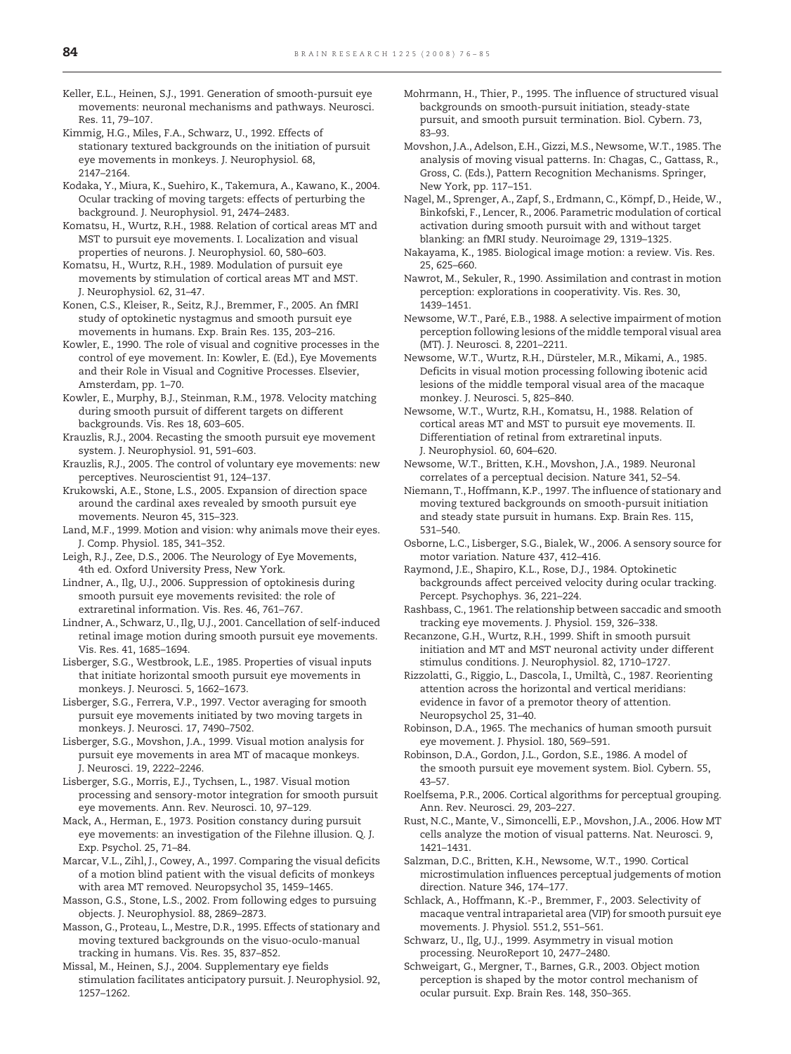- <span id="page-8-0"></span>Keller, E.L., Heinen, S.J., 1991. Generation of smooth-pursuit eye movements: neuronal mechanisms and pathways. Neurosci. Res. 11, 79–107.
- Kimmig, H.G., Miles, F.A., Schwarz, U., 1992. Effects of stationary textured backgrounds on the initiation of pursuit eye movements in monkeys. J. Neurophysiol. 68, 2147–2164.
- Kodaka, Y., Miura, K., Suehiro, K., Takemura, A., Kawano, K., 2004. Ocular tracking of moving targets: effects of perturbing the background. J. Neurophysiol. 91, 2474–2483.
- Komatsu, H., Wurtz, R.H., 1988. Relation of cortical areas MT and MST to pursuit eye movements. I. Localization and visual properties of neurons. J. Neurophysiol. 60, 580–603.
- Komatsu, H., Wurtz, R.H., 1989. Modulation of pursuit eye movements by stimulation of cortical areas MT and MST. J. Neurophysiol. 62, 31–47.
- Konen, C.S., Kleiser, R., Seitz, R.J., Bremmer, F., 2005. An fMRI study of optokinetic nystagmus and smooth pursuit eye movements in humans. Exp. Brain Res. 135, 203–216.
- Kowler, E., 1990. The role of visual and cognitive processes in the control of eye movement. In: Kowler, E. (Ed.), Eye Movements and their Role in Visual and Cognitive Processes. Elsevier, Amsterdam, pp. 1–70.
- Kowler, E., Murphy, B.J., Steinman, R.M., 1978. Velocity matching during smooth pursuit of different targets on different backgrounds. Vis. Res 18, 603–605.
- Krauzlis, R.J., 2004. Recasting the smooth pursuit eye movement system. J. Neurophysiol. 91, 591–603.
- Krauzlis, R.J., 2005. The control of voluntary eye movements: new perceptives. Neuroscientist 91, 124–137.
- Krukowski, A.E., Stone, L.S., 2005. Expansion of direction space around the cardinal axes revealed by smooth pursuit eye movements. Neuron 45, 315–323.
- Land, M.F., 1999. Motion and vision: why animals move their eyes. J. Comp. Physiol. 185, 341–352.
- Leigh, R.J., Zee, D.S., 2006. The Neurology of Eye Movements, 4th ed. Oxford University Press, New York.
- Lindner, A., Ilg, U.J., 2006. Suppression of optokinesis during smooth pursuit eye movements revisited: the role of extraretinal information. Vis. Res. 46, 761–767.
- Lindner, A., Schwarz, U., Ilg, U.J., 2001. Cancellation of self-induced retinal image motion during smooth pursuit eye movements. Vis. Res. 41, 1685–1694.
- Lisberger, S.G., Westbrook, L.E., 1985. Properties of visual inputs that initiate horizontal smooth pursuit eye movements in monkeys. J. Neurosci. 5, 1662–1673.
- Lisberger, S.G., Ferrera, V.P., 1997. Vector averaging for smooth pursuit eye movements initiated by two moving targets in monkeys. J. Neurosci. 17, 7490–7502.
- Lisberger, S.G., Movshon, J.A., 1999. Visual motion analysis for pursuit eye movements in area MT of macaque monkeys. J. Neurosci. 19, 2222–2246.
- Lisberger, S.G., Morris, E.J., Tychsen, L., 1987. Visual motion processing and sensory-motor integration for smooth pursuit eye movements. Ann. Rev. Neurosci. 10, 97–129.
- Mack, A., Herman, E., 1973. Position constancy during pursuit eye movements: an investigation of the Filehne illusion. Q. J. Exp. Psychol. 25, 71–84.
- Marcar, V.L., Zihl, J., Cowey, A., 1997. Comparing the visual deficits of a motion blind patient with the visual deficits of monkeys with area MT removed. Neuropsychol 35, 1459–1465.
- Masson, G.S., Stone, L.S., 2002. From following edges to pursuing objects. J. Neurophysiol. 88, 2869–2873.
- Masson, G., Proteau, L., Mestre, D.R., 1995. Effects of stationary and moving textured backgrounds on the visuo-oculo-manual tracking in humans. Vis. Res. 35, 837–852.
- Missal, M., Heinen, S.J., 2004. Supplementary eye fields stimulation facilitates anticipatory pursuit. J. Neurophysiol. 92, 1257–1262.
- Mohrmann, H., Thier, P., 1995. The influence of structured visual backgrounds on smooth-pursuit initiation, steady-state pursuit, and smooth pursuit termination. Biol. Cybern. 73, 83–93.
- Movshon, J.A., Adelson, E.H., Gizzi, M.S., Newsome, W.T., 1985. The analysis of moving visual patterns. In: Chagas, C., Gattass, R., Gross, C. (Eds.), Pattern Recognition Mechanisms. Springer, New York, pp. 117–151.
- Nagel, M., Sprenger, A., Zapf, S., Erdmann, C., Kömpf, D., Heide, W., Binkofski, F., Lencer, R., 2006. Parametric modulation of cortical activation during smooth pursuit with and without target blanking: an fMRI study. Neuroimage 29, 1319–1325.
- Nakayama, K., 1985. Biological image motion: a review. Vis. Res. 25, 625–660.
- Nawrot, M., Sekuler, R., 1990. Assimilation and contrast in motion perception: explorations in cooperativity. Vis. Res. 30, 1439–1451.
- Newsome, W.T., Paré, E.B., 1988. A selective impairment of motion perception following lesions of the middle temporal visual area (MT). J. Neurosci. 8, 2201–2211.
- Newsome, W.T., Wurtz, R.H., Dürsteler, M.R., Mikami, A., 1985. Deficits in visual motion processing following ibotenic acid lesions of the middle temporal visual area of the macaque monkey. J. Neurosci. 5, 825–840.
- Newsome, W.T., Wurtz, R.H., Komatsu, H., 1988. Relation of cortical areas MT and MST to pursuit eye movements. II. Differentiation of retinal from extraretinal inputs. J. Neurophysiol. 60, 604–620.
- Newsome, W.T., Britten, K.H., Movshon, J.A., 1989. Neuronal correlates of a perceptual decision. Nature 341, 52–54.
- Niemann, T., Hoffmann, K.P., 1997. The influence of stationary and moving textured backgrounds on smooth-pursuit initiation and steady state pursuit in humans. Exp. Brain Res. 115, 531–540.
- Osborne, L.C., Lisberger, S.G., Bialek, W., 2006. A sensory source for motor variation. Nature 437, 412–416.
- Raymond, J.E., Shapiro, K.L., Rose, D.J., 1984. Optokinetic backgrounds affect perceived velocity during ocular tracking. Percept. Psychophys. 36, 221–224.
- Rashbass, C., 1961. The relationship between saccadic and smooth tracking eye movements. J. Physiol. 159, 326–338.
- Recanzone, G.H., Wurtz, R.H., 1999. Shift in smooth pursuit initiation and MT and MST neuronal activity under different stimulus conditions. J. Neurophysiol. 82, 1710–1727.
- Rizzolatti, G., Riggio, L., Dascola, I., Umiltà, C., 1987. Reorienting attention across the horizontal and vertical meridians: evidence in favor of a premotor theory of attention. Neuropsychol 25, 31–40.
- Robinson, D.A., 1965. The mechanics of human smooth pursuit eye movement. J. Physiol. 180, 569–591.
- Robinson, D.A., Gordon, J.L., Gordon, S.E., 1986. A model of the smooth pursuit eye movement system. Biol. Cybern. 55, 43–57.
- Roelfsema, P.R., 2006. Cortical algorithms for perceptual grouping. Ann. Rev. Neurosci. 29, 203–227.
- Rust, N.C., Mante, V., Simoncelli, E.P., Movshon, J.A., 2006. How MT cells analyze the motion of visual patterns. Nat. Neurosci. 9, 1421–1431.
- Salzman, D.C., Britten, K.H., Newsome, W.T., 1990. Cortical microstimulation influences perceptual judgements of motion direction. Nature 346, 174–177.
- Schlack, A., Hoffmann, K.-P., Bremmer, F., 2003. Selectivity of macaque ventral intraparietal area (VIP) for smooth pursuit eye movements. J. Physiol. 551.2, 551–561.
- Schwarz, U., Ilg, U.J., 1999. Asymmetry in visual motion processing. NeuroReport 10, 2477–2480.
- Schweigart, G., Mergner, T., Barnes, G.R., 2003. Object motion perception is shaped by the motor control mechanism of ocular pursuit. Exp. Brain Res. 148, 350–365.